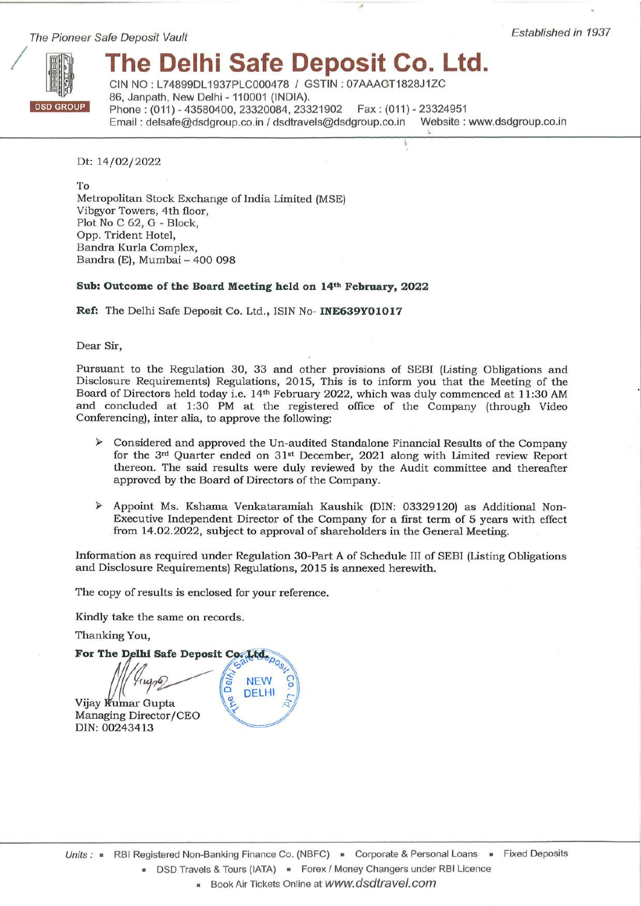The Pioneer Safe Deposit Vault



# The Delhi Safe Deposit Co. Ltd.

CIN NO: L74899DL1937PLC000478 / GSTIN: 07AAACT1828J1ZC 86, Janpath, New Delhi - 110001 (INDIA). Phone: (011) - 43580400, 23320084, 23321902 Fax: (011) - 23324951 Email: delsafe@dsdgroup.co.in / dsdtravels@dsdgroup.co.in Website: www.dsdgroup.co.in

Dt: 14/02/2022

To Metropolitan Stock Exchange of India Limited (MSE) Vibgyor Towers, 4th floor, Plot No C 62, G - Block, Opp. Trident Hotel, Bandra Kurla Complex, Bandra (E), Mumbai - 400 098

# Sub: Outcome of the Board Meeting held on 14th February, 2022

Ref: The Delhi Safe Deposit Co. Ltd., ISIN No- INE639Y01017

Dear Sir,

Pursuant to the Regulation 30, 33 and other provisions of SEBI (Listing Obligations and Disclosure Requirements) Regulations, 2015, This is to inform you that the Meeting of the Board of Directors held today i.e. 14th February 2022, which was duly commenced at 11:30 AM and concluded at 1:30 PM at the registered office of the Company (through Video Conferencing), inter alia, to approve the following:

- $\triangleright$  Considered and approved the Un-audited Standalone Financial Results of the Company for the 3rd Quarter ended on 31<sup>st</sup> December, 2021 along with Limited review Report thereon. The said results were duly reviewed by the Audit committee and thereafter approved by the Board of Directors of the Company.
- > Appoint Ms. Kshama Venkataramiah Kaushik (DIN: 03329120) as Additional Non-Executive Independent Director of the Company for a first term of 5 years with effect from 14.02.2022, subject to approval of shareholders in the General Meeting.

Information as required under Regulation 30-Part A of Schedule III of SEBI (Listing Obligations and Disclosure Requirements) Regulations, 2015 is annexed herewith.

The copy of results is enclosed for your reference.

Kindly take the same on records.

Thanking You,

For The Delhi Safe Deposit Co. Ltdep **NEW DELHI** Vijay Kumar Gupta Managing Director/CEO DIN: 00243413

Book Air Tickets Online at WWW.dsdtravel.com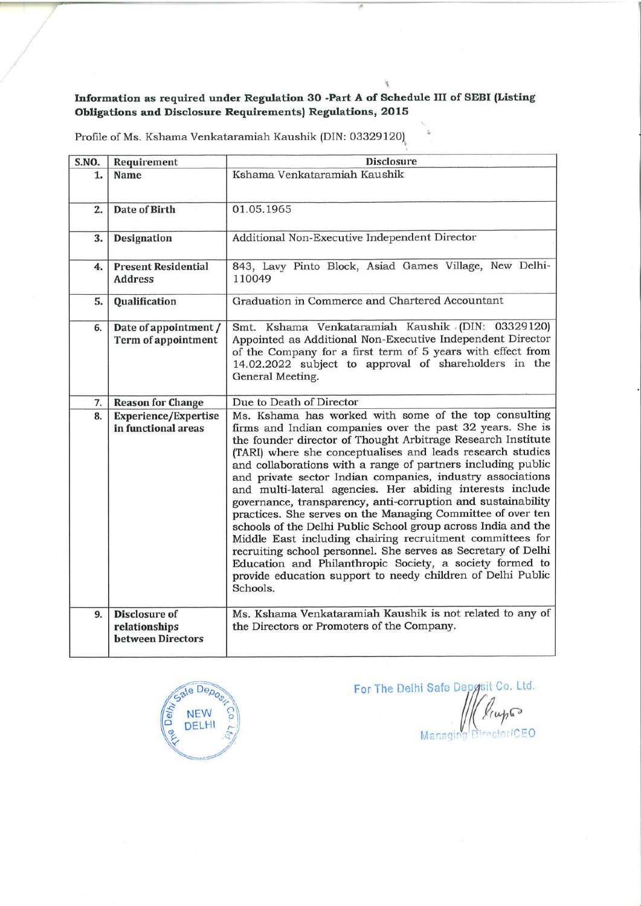# Information as required under Regulation 30 -Part A of Schedule III of SEBI (Listing Obligations and Disclosure Requirements) Regulations, 2015

寝

| S.NO. | Requirement                                                | <b>Disclosure</b>                                                                                                                                                                                                                                                                                                                                                                                                                                                                                                                                                                                                                                                                                                                                                                                                                                                                                                |  |  |
|-------|------------------------------------------------------------|------------------------------------------------------------------------------------------------------------------------------------------------------------------------------------------------------------------------------------------------------------------------------------------------------------------------------------------------------------------------------------------------------------------------------------------------------------------------------------------------------------------------------------------------------------------------------------------------------------------------------------------------------------------------------------------------------------------------------------------------------------------------------------------------------------------------------------------------------------------------------------------------------------------|--|--|
| 1.    | <b>Name</b>                                                | Kshama Venkataramiah Kaushik                                                                                                                                                                                                                                                                                                                                                                                                                                                                                                                                                                                                                                                                                                                                                                                                                                                                                     |  |  |
| 2.    | Date of Birth                                              | 01.05.1965                                                                                                                                                                                                                                                                                                                                                                                                                                                                                                                                                                                                                                                                                                                                                                                                                                                                                                       |  |  |
| 3.    | Designation                                                | Additional Non-Executive Independent Director                                                                                                                                                                                                                                                                                                                                                                                                                                                                                                                                                                                                                                                                                                                                                                                                                                                                    |  |  |
| 4.    | <b>Present Residential</b><br><b>Address</b>               | 843, Lavy Pinto Block, Asiad Games Village, New Delhi-<br>110049                                                                                                                                                                                                                                                                                                                                                                                                                                                                                                                                                                                                                                                                                                                                                                                                                                                 |  |  |
| 5.    | Qualification                                              | Graduation in Commerce and Chartered Accountant                                                                                                                                                                                                                                                                                                                                                                                                                                                                                                                                                                                                                                                                                                                                                                                                                                                                  |  |  |
| 6.    | Date of appointment /<br><b>Term of appointment</b>        | Smt. Kshama Venkataramiah Kaushik (DIN: 03329120)<br>Appointed as Additional Non-Executive Independent Director<br>of the Company for a first term of 5 years with effect from<br>14.02.2022 subject to approval of shareholders in the<br>General Meeting.                                                                                                                                                                                                                                                                                                                                                                                                                                                                                                                                                                                                                                                      |  |  |
| 7.    | <b>Reason for Change</b>                                   | Due to Death of Director                                                                                                                                                                                                                                                                                                                                                                                                                                                                                                                                                                                                                                                                                                                                                                                                                                                                                         |  |  |
| 8.    | <b>Experience/Expertise</b><br>in functional areas         | Ms. Kshama has worked with some of the top consulting<br>firms and Indian companies over the past 32 years. She is<br>the founder director of Thought Arbitrage Research Institute<br>(TARI) where she conceptualises and leads research studies<br>and collaborations with a range of partners including public<br>and private sector Indian companies, industry associations<br>and multi-lateral agencies. Her abiding interests include<br>governance, transparency, anti-corruption and sustainability<br>practices. She serves on the Managing Committee of over ten<br>schools of the Delhi Public School group across India and the<br>Middle East including chairing recruitment committees for<br>recruiting school personnel. She serves as Secretary of Delhi<br>Education and Philanthropic Society, a society formed to<br>provide education support to needy children of Delhi Public<br>Schools. |  |  |
| 9.    | <b>Disclosure of</b><br>relationships<br>between Directors | Ms. Kshama Venkataramiah Kaushik is not related to any of<br>the Directors or Promoters of the Company.                                                                                                                                                                                                                                                                                                                                                                                                                                                                                                                                                                                                                                                                                                                                                                                                          |  |  |

Profile of Ms. Kshama Venkataramiah Kaushik (DIN: 03329120)



For The Delhi Safe Depysit Co. Ltd. lingão Director/CEO Managing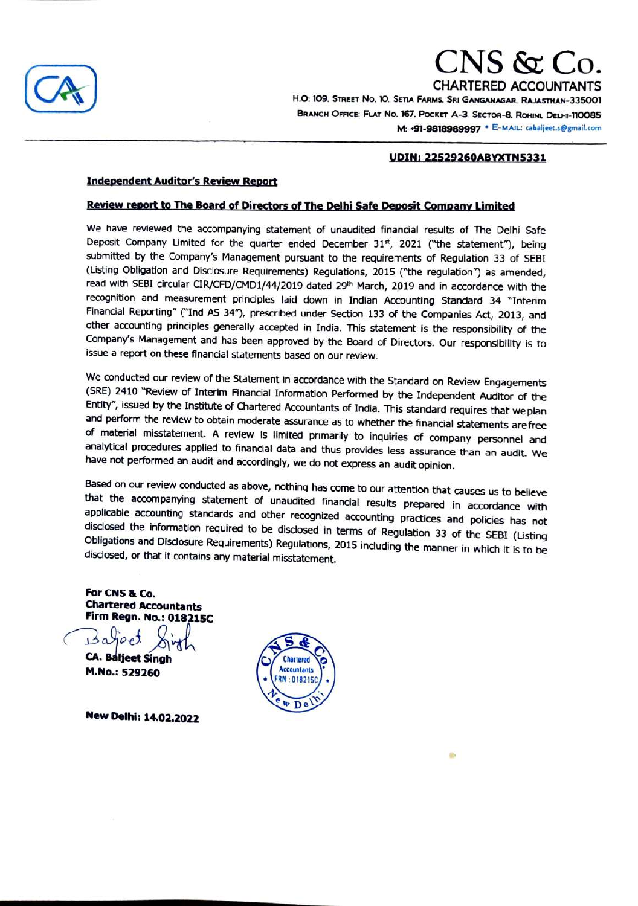

# CNS & Co.<br>Chartered accountants

CHARTERED ACCOUNTANTS<br>H.O: 109. STREET No. 10. SETIA FARMS. SRI GANGANAGAR, RALASTHAN-335001<br>BRANCH OFFICE: FLAT No. 167, Pocket A-3. Sector-8, Rohini, Delhi-110085 HO: 109. STREET NO. 10. SETA FARMS. SRu GANGANAGAR. RAJASTHAN-335001 BRANCH OFFICE: FLAT No. 167. POCKET A-3. SECTOR-8. ROHINI. DELHI-110085 M: +91-9818989997 · E-MAIL: cabaljeet.s@gmail.com

#### uDIN: 22529260ABYXTN5331

#### **Independent Auditor's Review Report**

#### Review report to The Board of Directors of The Delhi Safe Deposit Company Limited

We have reviewed the accompanying statement of unaudited financial results of The Delhi Safe Deposit Company Limited for the quarter ended December 31<sup>st</sup>, 2021 ("the statement"), being submitted by the Company's Management pursuant to the requirements of Regulation 33 of SEBI (Listing Obligation and Disclosure Requirements) Regulations, 2015 ("the regulation") as amended, read with SEBI circular CIR/CFD/CMD1/44/2019 dated 29<sup>th</sup> March, 2019 and in accordance with the recognition and measurement principles laid down in Indian Accounting Standard 34 "Interim Financial Reporting" ("Ind AS 34"), prescribed under Section 133 of the Companies Act, 2013, and other accounting principles generally accepted in India. This statement is the responsibility of the Company's Management and has been approved by the Board of Directors. Our responsibility is to issue a report on these financial statements based on our review.

We conducted our review of the Statement in accordance with the Standard on Review Engagements (SRE) 241o "Review of Interim Financial Information Performed by the Independent Auditor of the Entity", issued by the Institute of Chartered Accountants of India. This standard requires that we plan and perform the review to obtain moderate assurance as to whether the financial statements are free of material misstatement. A review is limited primarily to inquiries of company personnel and analytical procedures applied to financial data and thus provides less assurance than an audit. We have not performed an audit and accordingly, we do not express an audit opinion.

Based on our review conducted as above, nothing has come to our attention that causes us to believe<br>that the accompanying statement of unaudited financial results prepared in accordance with<br>applicable accounting standards

For CNS & Co. Chartered Accountants Firm Regn. No.: 018215C

 $\rho_e$  $CA.$  Baljeet Singh  $\sqrt{C_2}$  Chartered **M.No.: 529260 Accountants** 

New Delhi: 14.02.2022

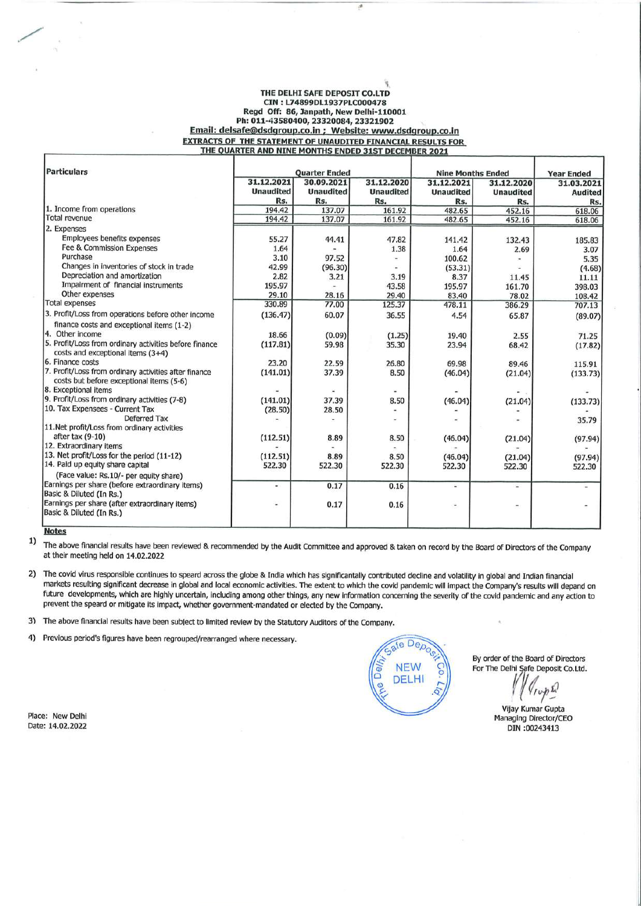#### THE DELHI SAFE DEPOSIT CO.LTD CIN: L74899DL1937PLC000478 Regd Off: 86, Janpath, New Delhi-110001 Ph: 011-43580400, 23320084, 23321902 Email: delsafe@dsdgroup.co.in ; Website: www.dsdgroup.co.in **EXTRACTS OF THE STATEMENT OF UNAUDITED FINANCIAL RESULTS FOR** THE QUARTER AND NINE MONTHS ENDED 31ST DECEMBER 2021

| <b>Particulars</b>                                     | <b>Quarter Ended</b> |                  |                  | <b>Nine Months Ended</b> |                  | <b>Year Ended</b> |
|--------------------------------------------------------|----------------------|------------------|------------------|--------------------------|------------------|-------------------|
|                                                        | 31.12.2021           | 30.09.2021       | 31.12.2020       | 31.12.2021               | 31.12.2020       | 31.03.2021        |
|                                                        | <b>Unaudited</b>     | <b>Unaudited</b> | <b>Unaudited</b> | <b>Unaudited</b>         | <b>Unaudited</b> | <b>Audited</b>    |
|                                                        | Rs.                  | Rs.              | Rs.              | Rs.                      | Rs.              | Rs.               |
| 1. Income from operations                              | 194.42               | 137.07           | 161.92           | 482.65                   | 452.16           | 618.06            |
| Total revenue                                          | 194.42               | 137.07           | 161.92           | 482.65                   | 452.16           | 618.06            |
| 2. Expenses                                            |                      |                  |                  |                          |                  |                   |
| <b>Employees benefits expenses</b>                     | 55.27                | 44.41            | 47.82            | 141.42                   | 132.43           | 185.83            |
| Fee & Commission Expenses                              | 1.64                 |                  | 1.38             | 1.64                     | 2.69             | 3.07              |
| Purchase                                               | 3.10                 | 97.52            |                  | 100.62                   |                  | 5.35              |
| Changes in inventories of stock in trade               | 42.99                | (96.30)          |                  | (53.31)                  |                  | (4.68)            |
| Depreciation and amortization                          | 2.82                 | 3.21             | 3.19             | 8.37                     | 11.45            | 11.11             |
| Impairment of financial instruments                    | 195.97               |                  | 43.58            | 195.97                   | 161.70           | 398.03            |
| Other expenses                                         | 29.10                | 28.16            | 29.40            | 83.40                    | 78.02            | 108.42            |
| <b>Total expenses</b>                                  | 330.89               | 77.00            | 125.37           | 478.11                   | 386.29           | 707.13            |
| 3. Profit/Loss from operations before other income     | (136.47)             | 60.07            | 36.55            | 4.54                     | 65.87            | (89.07)           |
| finance costs and exceptional items (1-2)              |                      |                  |                  |                          |                  |                   |
| 4. Other income                                        | 18.66                | (0.09)           | (1.25)           | 19.40                    | 2.55             | 71.25             |
| 5. Profit/Loss from ordinary activities before finance | (117.81)             | 59.98            | 35.30            | 23.94                    | 68.42            | (17.82)           |
| costs and exceptional items (3+4)                      |                      |                  |                  |                          |                  |                   |
| 6. Finance costs                                       | 23.20                | 22.59            | 26.80            | 69.98                    | 89.46            | 115.91            |
| 7. Profit/Loss from ordinary activities after finance  | (141.01)             | 37.39            | 8.50             | (46.04)                  | (21.04)          | (133.73)          |
| costs but before exceptional items (5-6)               |                      |                  |                  |                          |                  |                   |
| 8. Exceptional items                                   |                      |                  |                  |                          |                  |                   |
| 9. Profit/Loss from ordinary activities (7-8)          | (141.01)             | 37.39            | 8.50             | (46.04)                  | (21.04)          | (133.73)          |
| 10. Tax Expensees - Current Tax                        | (28.50)              | 28.50            |                  |                          |                  |                   |
| Deferred Tax                                           |                      |                  |                  |                          |                  | 35.79             |
| 11. Net profit/Loss from ordinary activities           |                      |                  |                  |                          |                  |                   |
| after tax (9-10)                                       | (112.51)             | 8.89             | 8.50             | (46.04)                  | (21.04)          | (97.94)           |
| 12. Extraordinary items                                |                      |                  |                  |                          |                  |                   |
| 13. Net profit/Loss for the period (11-12)             | (112.51)             | 8.89             | 8.50             | (46.04)                  | (21.04)          | (97.94)           |
| 14. Paid up equity share capital                       | 522.30               | 522.30           | 522.30           | 522.30                   | 522.30           | 522.30            |
| (Face value: Rs.10/- per equity share)                 |                      |                  |                  |                          |                  |                   |
| Earnings per share (before extraordinary items)        | ۰                    | 0.17             | 0.16             | ¥.                       | ÷                |                   |
| Basic & Diluted (In Rs.)                               |                      |                  |                  |                          |                  |                   |
| Earnings per share (after extraordinary items)         | ۰                    | 0.17             | 0.16             | ۰                        | ۰                |                   |
| Basic & Diluted (In Rs.)                               |                      |                  |                  |                          |                  |                   |
|                                                        |                      |                  |                  |                          |                  |                   |

**Notes** 

 $1)$ The above financial results have been reviewed & recommended by the Audit Committee and approved & taken on record by the Board of Directors of the Company at their meeting held on 14.02.2022

2) The covid virus responsible continues to speard across the globe & India which has significantally contributed decline and volatility in global and Indian financial markets resulting significant decrease in global and local economic activities. The extent to which the covid pandemic will impact the Company's results will depand on future developments, which are highly uncertain, including among other things, any new information concerning the severity of the covid pandemic and any action to prevent the speard or mitigate its impact, whether government-mandated or elected by the Company.

3) The above financial results have been subject to limited review by the Statutory Auditors of the Company.

 $4)$ Previous period's figures have been regrouped/rearranged where necessary.

ale Dep<sub>c</sub> **NEW DELHI** 

By order of the Board of Directors For The Delhi Safe Deposit Co.Ltd.

 $4\pi r^2$ 

Vijay Kumar Gupta Managing Director/CEO DIN:00243413

Place: New Delhi Date: 14.02.2022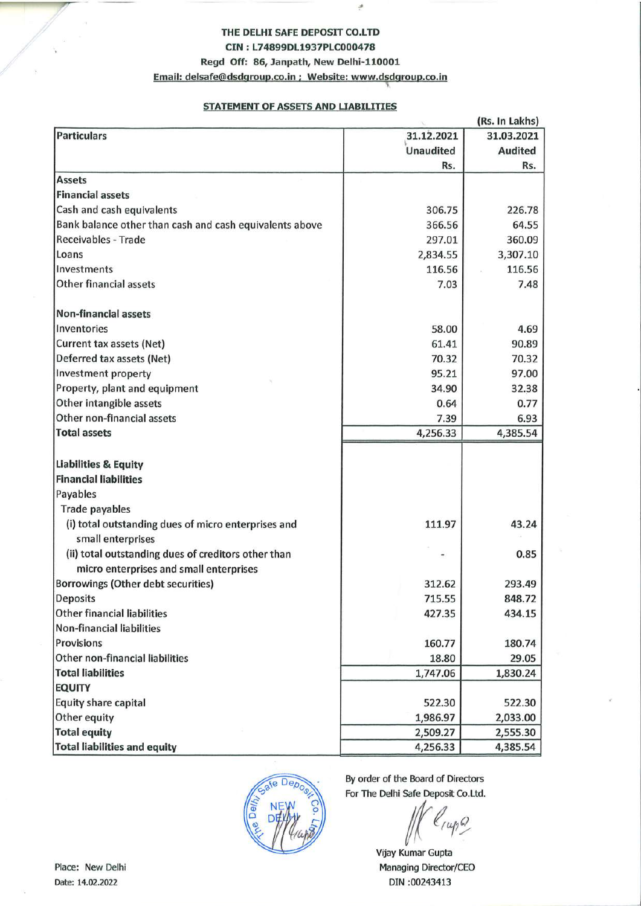# THE DELHI SAFE DEPOSIT CO.LTD CIN: L74899DL1937PLC000478

# Regd Off: 86, Janpath, New Delhi-110001

Email: delsafe@dsdgroup.co.in ; Website: www.dsdgroup.co.in

# **STATEMENT OF ASSETS AND LIABILITIES**

|                                                         | (Rs. In Lakhs)   |                |  |
|---------------------------------------------------------|------------------|----------------|--|
| <b>Particulars</b>                                      | 31.12.2021       | 31.03.2021     |  |
|                                                         | <b>Unaudited</b> | <b>Audited</b> |  |
|                                                         | Rs.              | Rs.            |  |
| <b>Assets</b>                                           |                  |                |  |
| <b>Financial assets</b>                                 |                  |                |  |
| Cash and cash equivalents                               | 306.75           | 226.78         |  |
| Bank balance other than cash and cash equivalents above | 366.56           | 64.55          |  |
| <b>Receivables - Trade</b>                              | 297.01           | 360.09         |  |
| Loans                                                   | 2,834.55         | 3,307.10       |  |
| Investments                                             | 116.56           | 116.56         |  |
| Other financial assets                                  | 7.03             | 7.48           |  |
| <b>Non-financial assets</b>                             |                  |                |  |
| Inventories                                             | 58.00            | 4.69           |  |
| Current tax assets (Net)                                | 61.41            | 90.89          |  |
| Deferred tax assets (Net)                               | 70.32            | 70.32          |  |
| <b>Investment property</b>                              | 95.21            | 97.00          |  |
| Property, plant and equipment                           | 34.90            | 32.38          |  |
| Other intangible assets                                 | 0.64             | 0.77           |  |
| Other non-financial assets                              | 7.39             | 6.93           |  |
| <b>Total assets</b>                                     | 4,256.33         | 4,385.54       |  |
|                                                         |                  |                |  |
| <b>Liabilities &amp; Equity</b>                         |                  |                |  |
| <b>Financial liabilities</b>                            |                  |                |  |
| Payables                                                |                  |                |  |
| <b>Trade payables</b>                                   |                  |                |  |
| (i) total outstanding dues of micro enterprises and     | 111.97           | 43.24          |  |
| small enterprises                                       |                  |                |  |
| (ii) total outstanding dues of creditors other than     |                  | 0.85           |  |
| micro enterprises and small enterprises                 |                  |                |  |
| Borrowings (Other debt securities)                      | 312.62           | 293.49         |  |
| Deposits                                                | 715.55           | 848.72         |  |
| Other financial liabilities                             | 427.35           | 434.15         |  |
| <b>Non-financial liabilities</b>                        |                  |                |  |
| Provisions                                              | 160.77           | 180.74         |  |
| Other non-financial liabilities                         | 18.80            | 29.05          |  |
| <b>Total liabilities</b>                                | 1,747.06         | 1,830.24       |  |
| <b>EQUITY</b>                                           |                  |                |  |
| Equity share capital                                    | 522.30           | 522.30         |  |
| Other equity                                            | 1,986.97         | 2,033.00       |  |
| <b>Total equity</b>                                     | 2,509.27         | 2,555.30       |  |
| <b>Total liabilities and equity</b>                     | 4,256.33         | 4,385.54       |  |



By order of the Board of Directors For The Delhi Safe Deposit Co.Ltd.

 $\mathcal{Q}$ 

Vijay Kumar Gupta Managing Director/CEO DIN:00243413